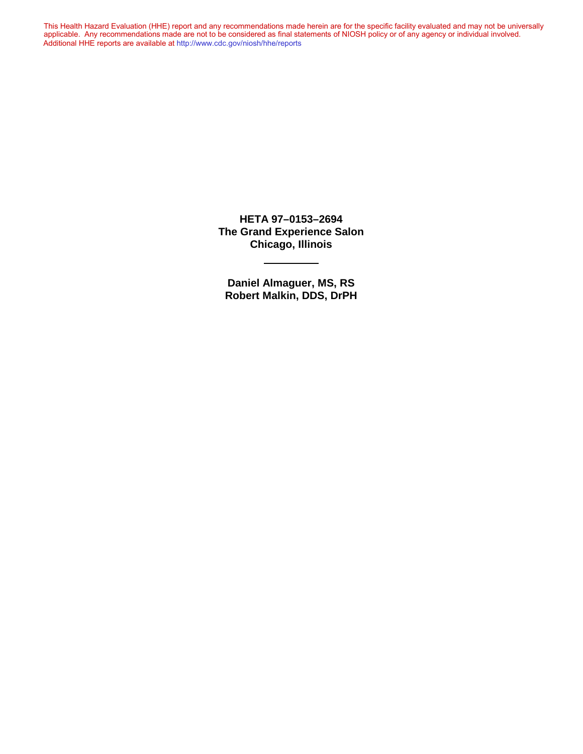This Health Hazard Evaluation (HHE) report and any recommendations made herein are for the specific facility evaluated and may not be universally applicable. Any recommendations made are not to be considered as final statements of NIOSH policy or of any agency or individual involved. Additional HHE reports are available at <http://www.cdc.gov/niosh/hhe/reports> Additional HHE reports are available at <http://www.cdc.gov/niosh/hhe/reports>This Health Hazard Evaluation (HHE) report and any recommendations made herein are for the specific facility evaluated and may not be universally applicable. Any recommendations made are not to be considered as final statements of NIOSH policy or of any agency or individual involved

> **HETA 97–0153–2694 The Grand Experience Salon Chicago, Illinois**

**Daniel Almaguer, MS, RS Robert Malkin, DDS, DrPH**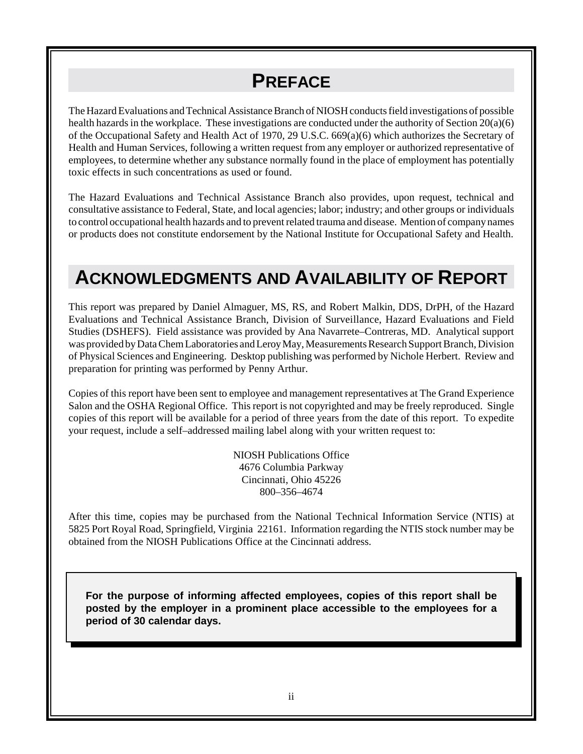# **PREFACE**

The Hazard Evaluations and Technical Assistance Branch of NIOSH conducts field investigations of possible health hazards in the workplace. These investigations are conducted under the authority of Section 20(a)(6) of the Occupational Safety and Health Act of 1970, 29 U.S.C. 669(a)(6) which authorizes the Secretary of Health and Human Services, following a written request from any employer or authorized representative of employees, to determine whether any substance normally found in the place of employment has potentially toxic effects in such concentrations as used or found.

The Hazard Evaluations and Technical Assistance Branch also provides, upon request, technical and consultative assistance to Federal, State, and local agencies; labor; industry; and other groups or individuals to control occupational health hazards and to prevent related trauma and disease. Mention of company names or products does not constitute endorsement by the National Institute for Occupational Safety and Health.

# **ACKNOWLEDGMENTS AND AVAILABILITY OF REPORT**

This report was prepared by Daniel Almaguer, MS, RS, and Robert Malkin, DDS, DrPH, of the Hazard Evaluations and Technical Assistance Branch, Division of Surveillance, Hazard Evaluations and Field Studies (DSHEFS). Field assistance was provided by Ana Navarrete–Contreras, MD. Analytical support was provided by Data Chem Laboratories and Leroy May, Measurements Research Support Branch, Division of Physical Sciences and Engineering. Desktop publishing was performed by Nichole Herbert. Review and preparation for printing was performed by Penny Arthur.

Copies of this report have been sent to employee and management representatives at The Grand Experience Salon and the OSHA Regional Office. This report is not copyrighted and may be freely reproduced. Single copies of this report will be available for a period of three years from the date of this report. To expedite your request, include a self–addressed mailing label along with your written request to:

> NIOSH Publications Office 4676 Columbia Parkway Cincinnati, Ohio 45226 800–356–4674

After this time, copies may be purchased from the National Technical Information Service (NTIS) at 5825 Port Royal Road, Springfield, Virginia 22161. Information regarding the NTIS stock number may be obtained from the NIOSH Publications Office at the Cincinnati address.

**For the purpose of informing affected employees, copies of this report shall be posted by the employer in a prominent place accessible to the employees for a period of 30 calendar days.**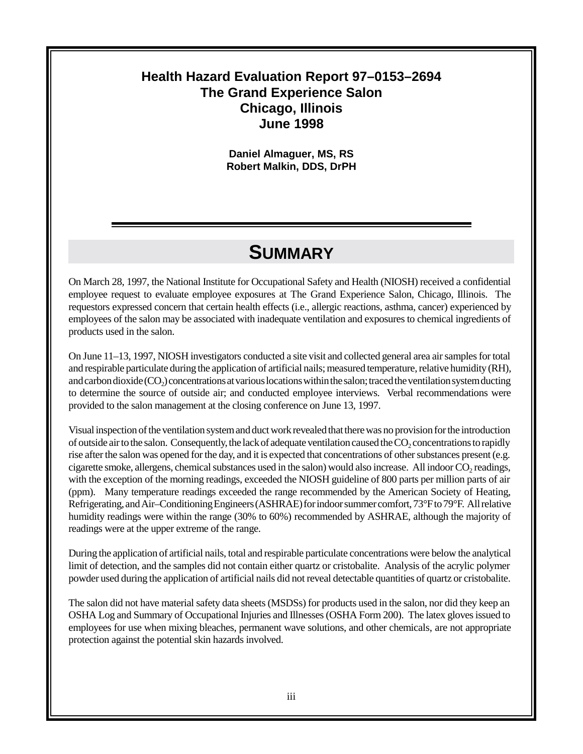#### **Health Hazard Evaluation Report 97–0153–2694 The Grand Experience Salon Chicago, Illinois June 1998**

**Daniel Almaguer, MS, RS Robert Malkin, DDS, DrPH**

## **SUMMARY**

On March 28, 1997, the National Institute for Occupational Safety and Health (NIOSH) received a confidential employee request to evaluate employee exposures at The Grand Experience Salon, Chicago, Illinois. The requestors expressed concern that certain health effects (i.e., allergic reactions, asthma, cancer) experienced by employees of the salon may be associated with inadequate ventilation and exposures to chemical ingredients of products used in the salon.

On June 11–13, 1997, NIOSH investigators conducted a site visit and collected general area air samples for total and respirable particulate during the application of artificial nails; measured temperature, relative humidity (RH), and carbon dioxide  $(CO<sub>2</sub>)$  concentrations at various locations within the salon; traced the ventilation system ducting to determine the source of outside air; and conducted employee interviews. Verbal recommendations were provided to the salon management at the closing conference on June 13, 1997.

Visual inspection of the ventilation system and duct work revealed that there was no provision for the introduction of outside air to the salon. Consequently, the lack of adequate ventilation caused the CO<sub>2</sub> concentrations to rapidly rise after the salon was opened for the day, and it is expected that concentrations of other substances present (e.g. cigarette smoke, allergens, chemical substances used in the salon) would also increase. All indoor CO<sub>2</sub> readings, with the exception of the morning readings, exceeded the NIOSH guideline of 800 parts per million parts of air (ppm). Many temperature readings exceeded the range recommended by the American Society of Heating, Refrigerating, and Air–Conditioning Engineers (ASHRAE) for indoor summer comfort, 73°F to 79°F. All relative humidity readings were within the range (30% to 60%) recommended by ASHRAE, although the majority of readings were at the upper extreme of the range.

During the application of artificial nails, total and respirable particulate concentrations were below the analytical limit of detection, and the samples did not contain either quartz or cristobalite. Analysis of the acrylic polymer powder used during the application of artificial nails did not reveal detectable quantities of quartz or cristobalite.

The salon did not have material safety data sheets (MSDSs) for products used in the salon, nor did they keep an OSHA Log and Summary of Occupational Injuries and Illnesses (OSHA Form 200). The latex gloves issued to employees for use when mixing bleaches, permanent wave solutions, and other chemicals, are not appropriate protection against the potential skin hazards involved.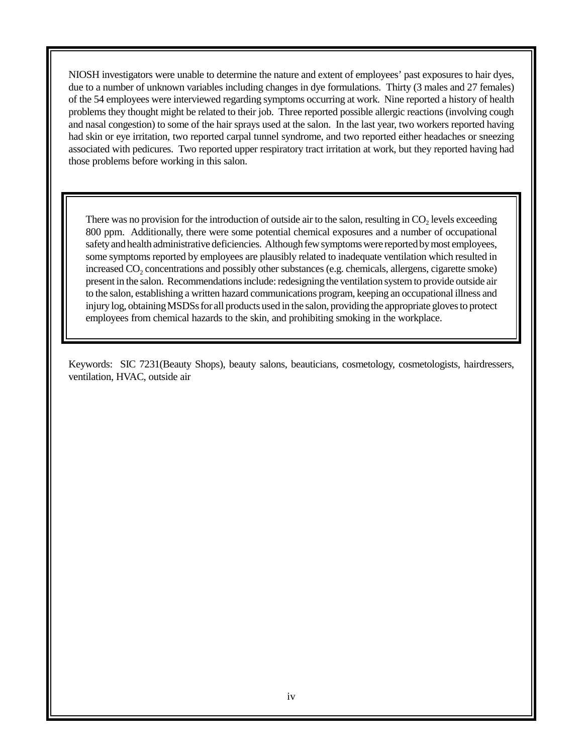NIOSH investigators were unable to determine the nature and extent of employees' past exposures to hair dyes, due to a number of unknown variables including changes in dye formulations. Thirty (3 males and 27 females) of the 54 employees were interviewed regarding symptoms occurring at work. Nine reported a history of health problems they thought might be related to their job. Three reported possible allergic reactions (involving cough and nasal congestion) to some of the hair sprays used at the salon. In the last year, two workers reported having had skin or eye irritation, two reported carpal tunnel syndrome, and two reported either headaches or sneezing associated with pedicures. Two reported upper respiratory tract irritation at work, but they reported having had those problems before working in this salon.

There was no provision for the introduction of outside air to the salon, resulting in  $CO<sub>2</sub>$  levels exceeding 800 ppm. Additionally, there were some potential chemical exposures and a number of occupational safety and health administrative deficiencies. Although few symptoms were reported by most employees, some symptoms reported by employees are plausibly related to inadequate ventilation which resulted in increased  $CO<sub>2</sub>$  concentrations and possibly other substances (e.g. chemicals, allergens, cigarette smoke) present in the salon. Recommendations include: redesigning the ventilation system to provide outside air to the salon, establishing a written hazard communications program, keeping an occupational illness and injury log, obtaining MSDSs for all products used in the salon, providing the appropriate gloves to protect employees from chemical hazards to the skin, and prohibiting smoking in the workplace.

Keywords: SIC 7231(Beauty Shops), beauty salons, beauticians, cosmetology, cosmetologists, hairdressers, ventilation, HVAC, outside air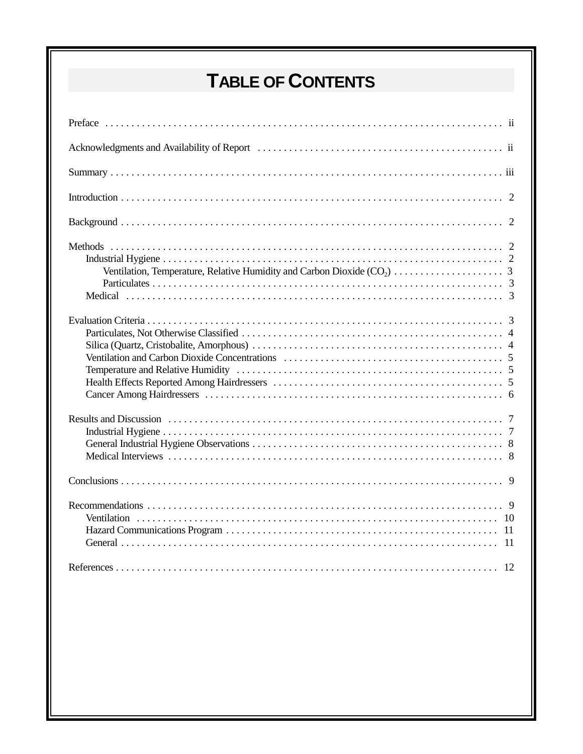# **TABLE OF CONTENTS**

| -11 |
|-----|
|     |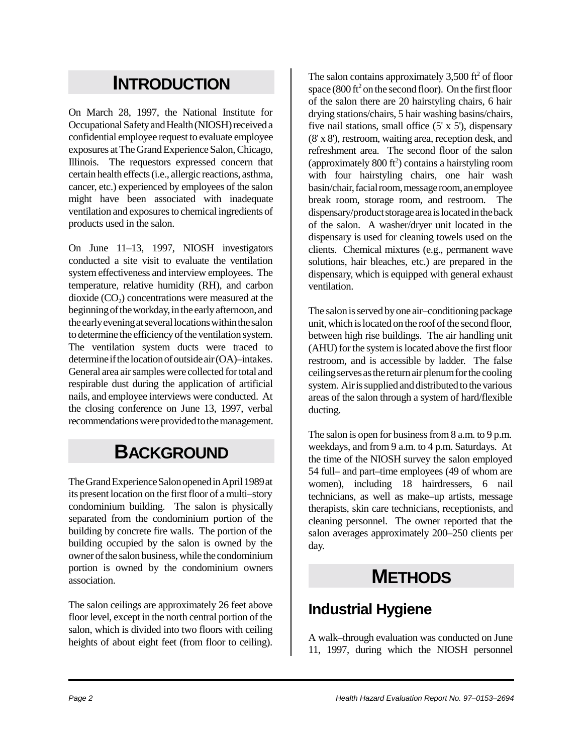# **INTRODUCTION**

On March 28, 1997, the National Institute for Occupational Safety and Health (NIOSH) received a confidential employee request to evaluate employee exposures at The Grand Experience Salon, Chicago, Illinois. The requestors expressed concern that certain health effects (i.e., allergic reactions, asthma, cancer, etc.) experienced by employees of the salon might have been associated with inadequate ventilation and exposures to chemical ingredients of products used in the salon.

On June 11–13, 1997, NIOSH investigators conducted a site visit to evaluate the ventilation system effectiveness and interview employees. The temperature, relative humidity (RH), and carbon dioxide  $(CO<sub>2</sub>)$  concentrations were measured at the beginning of the workday, in the early afternoon, and the early evening at several locations within the salon to determine the efficiency of the ventilation system. The ventilation system ducts were traced to determine if the location of outside air (OA)–intakes. General area air samples were collected for total and respirable dust during the application of artificial nails, and employee interviews were conducted. At the closing conference on June 13, 1997, verbal recommendations were provided to the management.

## **BACKGROUND**

The Grand Experience Salon opened in April 1989 at its present location on the first floor of a multi–story condominium building. The salon is physically separated from the condominium portion of the building by concrete fire walls. The portion of the building occupied by the salon is owned by the owner of the salon business, while the condominium portion is owned by the condominium owners association.

The salon ceilings are approximately 26 feet above floor level, except in the north central portion of the salon, which is divided into two floors with ceiling heights of about eight feet (from floor to ceiling).

The salon contains approximately  $3,500$  ft<sup>2</sup> of floor space  $(800 \text{ ft}^2 \text{ on the second floor})$ . On the first floor of the salon there are 20 hairstyling chairs, 6 hair drying stations/chairs, 5 hair washing basins/chairs, five nail stations, small office  $(5' \times 5')$ , dispensary (8' x 8'), restroom, waiting area, reception desk, and refreshment area. The second floor of the salon (approximately  $800 \text{ ft}^2$ ) contains a hairstyling room with four hairstyling chairs, one hair wash basin/chair, facial room, message room, an employee break room, storage room, and restroom. The dispensary/product storage area is located in the back of the salon. A washer/dryer unit located in the dispensary is used for cleaning towels used on the clients. Chemical mixtures (e.g., permanent wave solutions, hair bleaches, etc.) are prepared in the dispensary, which is equipped with general exhaust ventilation.

The salon is served by one air–conditioning package unit, which is located on the roof of the second floor, between high rise buildings. The air handling unit (AHU) for the system is located above the first floor restroom, and is accessible by ladder. The false ceiling serves as the return air plenum for the cooling system. Air is supplied and distributed to the various areas of the salon through a system of hard/flexible ducting.

The salon is open for business from 8 a.m. to 9 p.m. weekdays, and from 9 a.m. to 4 p.m. Saturdays. At the time of the NIOSH survey the salon employed 54 full– and part–time employees (49 of whom are women), including 18 hairdressers, 6 nail technicians, as well as make–up artists, message therapists, skin care technicians, receptionists, and cleaning personnel. The owner reported that the salon averages approximately 200–250 clients per day.

## **METHODS**

### **Industrial Hygiene**

A walk–through evaluation was conducted on June 11, 1997, during which the NIOSH personnel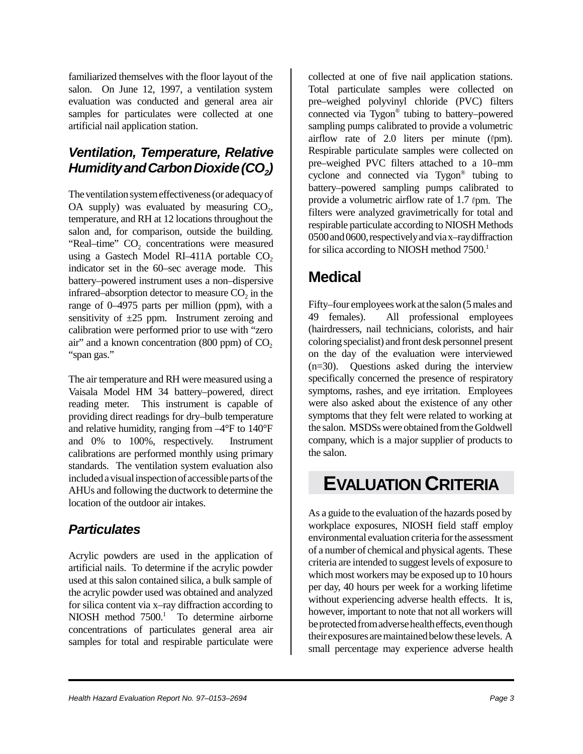familiarized themselves with the floor layout of the salon. On June 12, 1997, a ventilation system evaluation was conducted and general area air samples for particulates were collected at one artificial nail application station.

#### *Ventilation, Temperature, Relative Humidity and Carbon Dioxide (CO<sub>2</sub>)*

The ventilation system effectiveness (or adequacy of OA supply) was evaluated by measuring  $CO<sub>2</sub>$ , temperature, and RH at 12 locations throughout the salon and, for comparison, outside the building. "Real–time" CO<sub>2</sub> concentrations were measured using a Gastech Model RI–411A portable  $CO<sub>2</sub>$ indicator set in the 60–sec average mode. This battery–powered instrument uses a non–dispersive infrared–absorption detector to measure  $CO<sub>2</sub>$  in the range of 0–4975 parts per million (ppm), with a sensitivity of  $\pm 25$  ppm. Instrument zeroing and calibration were performed prior to use with "zero air" and a known concentration  $(800 \text{ ppm})$  of  $CO<sub>2</sub>$ "span gas."

The air temperature and RH were measured using a Vaisala Model HM 34 battery–powered, direct reading meter. This instrument is capable of providing direct readings for dry–bulb temperature and relative humidity, ranging from –4°F to 140°F and 0% to 100%, respectively. Instrument calibrations are performed monthly using primary standards. The ventilation system evaluation also included a visual inspection of accessible parts of the AHUs and following the ductwork to determine the location of the outdoor air intakes.

#### *Particulates*

Acrylic powders are used in the application of artificial nails. To determine if the acrylic powder used at this salon contained silica, a bulk sample of the acrylic powder used was obtained and analyzed for silica content via x–ray diffraction according to NIOSH method 7500.<sup>1</sup> To determine airborne concentrations of particulates general area air samples for total and respirable particulate were

collected at one of five nail application stations. Total particulate samples were collected on pre–weighed polyvinyl chloride (PVC) filters connected via Tygon® tubing to battery–powered sampling pumps calibrated to provide a volumetric airflow rate of 2.0 liters per minute  $(\ell$ pm). Respirable particulate samples were collected on pre–weighed PVC filters attached to a 10–mm cyclone and connected via Tygon® tubing to battery–powered sampling pumps calibrated to provide a volumetric airflow rate of  $1.7 \text{ (pm)}$ . The filters were analyzed gravimetrically for total and respirable particulate according to NIOSH Methods 0500 and 0600, respectively and via x–ray diffraction for silica according to NIOSH method  $7500$ <sup>1</sup>

#### **Medical**

Fifty–four employees work at the salon (5 males and 49 females). All professional employees (hairdressers, nail technicians, colorists, and hair coloring specialist) and front desk personnel present on the day of the evaluation were interviewed (n=30). Questions asked during the interview specifically concerned the presence of respiratory symptoms, rashes, and eye irritation. Employees were also asked about the existence of any other symptoms that they felt were related to working at the salon. MSDSs were obtained from the Goldwell company, which is a major supplier of products to the salon.

## **EVALUATION CRITERIA**

As a guide to the evaluation of the hazards posed by workplace exposures, NIOSH field staff employ environmental evaluation criteria for the assessment of a number of chemical and physical agents. These criteria are intended to suggest levels of exposure to which most workers may be exposed up to 10 hours per day, 40 hours per week for a working lifetime without experiencing adverse health effects. It is, however, important to note that not all workers will be protected from adverse health effects, even though their exposures are maintained below these levels. A small percentage may experience adverse health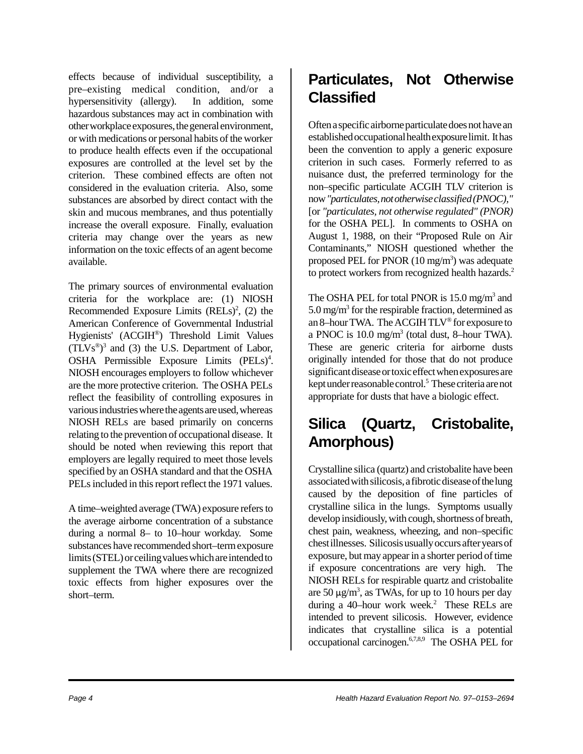effects because of individual susceptibility, a pre–existing medical condition, and/or a hypersensitivity (allergy). In addition, some hazardous substances may act in combination with other workplace exposures, the general environment, or with medications or personal habits of the worker to produce health effects even if the occupational exposures are controlled at the level set by the criterion. These combined effects are often not considered in the evaluation criteria. Also, some substances are absorbed by direct contact with the skin and mucous membranes, and thus potentially increase the overall exposure. Finally, evaluation criteria may change over the years as new information on the toxic effects of an agent become available.

The primary sources of environmental evaluation criteria for the workplace are: (1) NIOSH Recommended Exposure Limits  $(RELs)<sup>2</sup>$ , (2) the American Conference of Governmental Industrial Hygienists' (ACGIH®) Threshold Limit Values  $(TLVs<sup>®</sup>)<sup>3</sup>$  and (3) the U.S. Department of Labor, OSHA Permissible Exposure Limits (PELs)<sup>4</sup>. NIOSH encourages employers to follow whichever are the more protective criterion. The OSHA PELs reflect the feasibility of controlling exposures in various industries where the agents are used, whereas NIOSH RELs are based primarily on concerns relating to the prevention of occupational disease. It should be noted when reviewing this report that employers are legally required to meet those levels specified by an OSHA standard and that the OSHA PELs included in this report reflect the 1971 values.

A time–weighted average (TWA) exposure refers to the average airborne concentration of a substance during a normal 8– to 10–hour workday. Some substances have recommended short–term exposure limits (STEL) or ceiling values which are intended to supplement the TWA where there are recognized toxic effects from higher exposures over the short–term.

### **Particulates, Not Otherwise Classified**

Often a specific airborne particulate does not have an established occupational health exposure limit. It has been the convention to apply a generic exposure criterion in such cases. Formerly referred to as nuisance dust, the preferred terminology for the non–specific particulate ACGIH TLV criterion is now *"particulates, not otherwise classified (PNOC),"* [or *"particulates, not otherwise regulated" (PNOR)* for the OSHA PEL]. In comments to OSHA on August 1, 1988, on their "Proposed Rule on Air Contaminants," NIOSH questioned whether the proposed PEL for PNOR  $(10 \text{ mg/m}^3)$  was adequate to protect workers from recognized health hazards.<sup>2</sup>

The OSHA PEL for total PNOR is 15.0 mg/m<sup>3</sup> and  $5.0 \,\mathrm{mg/m^3}$  for the respirable fraction, determined as an 8–hour TWA. The ACGIH TLV® for exposure to a PNOC is  $10.0 \text{ mg/m}^3$  (total dust, 8-hour TWA). These are generic criteria for airborne dusts originally intended for those that do not produce significant disease or toxic effect when exposures are kept under reasonable control.<sup>5</sup> These criteria are not appropriate for dusts that have a biologic effect.

## **Silica (Quartz, Cristobalite, Amorphous)**

Crystalline silica (quartz) and cristobalite have been associated with silicosis, a fibrotic disease of the lung caused by the deposition of fine particles of crystalline silica in the lungs. Symptoms usually develop insidiously, with cough, shortness of breath, chest pain, weakness, wheezing, and non–specific chest illnesses. Silicosis usually occurs after years of exposure, but may appear in a shorter period of time if exposure concentrations are very high. The NIOSH RELs for respirable quartz and cristobalite are 50  $\mu$ g/m<sup>3</sup>, as TWAs, for up to 10 hours per day during a 40-hour work week.<sup>2</sup> These RELs are intended to prevent silicosis. However, evidence indicates that crystalline silica is a potential occupational carcinogen.<sup>6,7,8,9</sup> The OSHA PEL for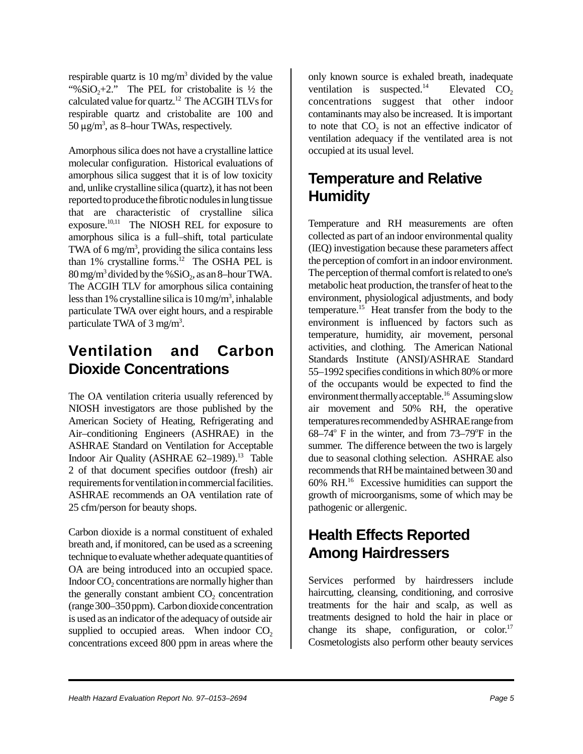respirable quartz is 10 mg/m<sup>3</sup> divided by the value "% $SiO<sub>2</sub>+2$ ." The PEL for cristobalite is  $\frac{1}{2}$  the calculated value for quartz.12 The ACGIH TLVs for respirable quartz and cristobalite are 100 and  $50 \,\mu g/m^3$ , as 8-hour TWAs, respectively.

Amorphous silica does not have a crystalline lattice molecular configuration. Historical evaluations of amorphous silica suggest that it is of low toxicity and, unlike crystalline silica (quartz), it has not been reported to produce the fibrotic nodules in lung tissue that are characteristic of crystalline silica exposure.10,11 The NIOSH REL for exposure to amorphous silica is a full–shift, total particulate TWA of  $6 \text{ mg/m}^3$ , providing the silica contains less than  $1\%$  crystalline forms.<sup>12</sup> The OSHA PEL is  $80 \,\mathrm{mg/m^3}$  divided by the % $\mathrm{SiO}_2$ , as an 8–hour TWA. The ACGIH TLV for amorphous silica containing less than 1% crystalline silica is  $10 \,\mathrm{mg/m^3}$ , inhalable particulate TWA over eight hours, and a respirable particulate TWA of 3 mg/m<sup>3</sup>.

#### **Ventilation and Carbon Dioxide Concentrations**

The OA ventilation criteria usually referenced by NIOSH investigators are those published by the American Society of Heating, Refrigerating and Air–conditioning Engineers (ASHRAE) in the ASHRAE Standard on Ventilation for Acceptable Indoor Air Quality (ASHRAE  $62-1989$ ).<sup>13</sup> Table 2 of that document specifies outdoor (fresh) air requirements for ventilation in commercial facilities. ASHRAE recommends an OA ventilation rate of 25 cfm/person for beauty shops.

Carbon dioxide is a normal constituent of exhaled breath and, if monitored, can be used as a screening technique to evaluate whether adequate quantities of OA are being introduced into an occupied space. Indoor  $CO<sub>2</sub>$  concentrations are normally higher than the generally constant ambient  $CO<sub>2</sub>$  concentration (range 300–350 ppm). Carbon dioxide concentration is used as an indicator of the adequacy of outside air supplied to occupied areas. When indoor  $CO<sub>2</sub>$ concentrations exceed 800 ppm in areas where the

only known source is exhaled breath, inadequate ventilation is suspected.<sup>14</sup> Elevated CO<sub>2</sub> concentrations suggest that other indoor contaminants may also be increased. It is important to note that  $CO<sub>2</sub>$  is not an effective indicator of ventilation adequacy if the ventilated area is not occupied at its usual level.

#### **Temperature and Relative Humidity**

Temperature and RH measurements are often collected as part of an indoor environmental quality (IEQ) investigation because these parameters affect the perception of comfort in an indoor environment. The perception of thermal comfort is related to one's metabolic heat production, the transfer of heat to the environment, physiological adjustments, and body temperature.15 Heat transfer from the body to the environment is influenced by factors such as temperature, humidity, air movement, personal activities, and clothing. The American National Standards Institute (ANSI)/ASHRAE Standard 55–1992 specifies conditions in which 80% or more of the occupants would be expected to find the environment thermally acceptable.<sup>16</sup> Assuming slow air movement and 50% RH, the operative temperatures recommended by ASHRAE range from  $68-74$ ° F in the winter, and from  $73-79$ °F in the summer. The difference between the two is largely due to seasonal clothing selection. ASHRAE also recommends that RH be maintained between 30 and 60% RH.16 Excessive humidities can support the growth of microorganisms, some of which may be pathogenic or allergenic.

### **Health Effects Reported Among Hairdressers**

Services performed by hairdressers include haircutting, cleansing, conditioning, and corrosive treatments for the hair and scalp, as well as treatments designed to hold the hair in place or change its shape, configuration, or color. $17$ Cosmetologists also perform other beauty services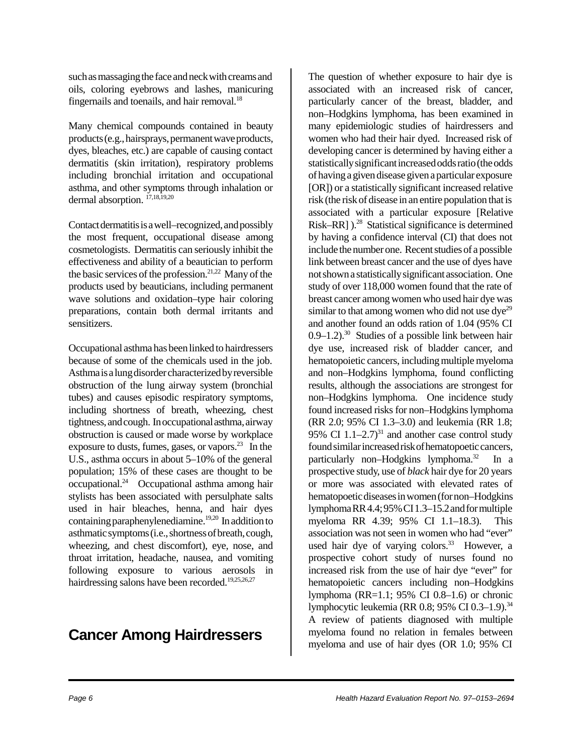such as massaging the face and neck with creams and oils, coloring eyebrows and lashes, manicuring fingernails and toenails, and hair removal.<sup>18</sup>

Many chemical compounds contained in beauty products (e.g., hairsprays, permanent wave products, dyes, bleaches, etc.) are capable of causing contact dermatitis (skin irritation), respiratory problems including bronchial irritation and occupational asthma, and other symptoms through inhalation or dermal absorption.  $^{17,18,19,20}$ 

Contact dermatitis is a well–recognized, and possibly the most frequent, occupational disease among cosmetologists. Dermatitis can seriously inhibit the effectiveness and ability of a beautician to perform the basic services of the profession.<sup>21,22</sup> Many of the products used by beauticians, including permanent wave solutions and oxidation–type hair coloring preparations, contain both dermal irritants and sensitizers.

Occupational asthma has been linked to hairdressers because of some of the chemicals used in the job. Asthma is a lung disorder characterized by reversible obstruction of the lung airway system (bronchial tubes) and causes episodic respiratory symptoms, including shortness of breath, wheezing, chest tightness, and cough. In occupational asthma, airway obstruction is caused or made worse by workplace exposure to dusts, fumes, gases, or vapors. $2<sup>3</sup>$  In the U.S., asthma occurs in about 5–10% of the general population; 15% of these cases are thought to be occupational.24 Occupational asthma among hair stylists has been associated with persulphate salts used in hair bleaches, henna, and hair dyes containing paraphenylenediamine.<sup>19,20</sup> In addition to asthmatic symptoms (i.e., shortness of breath, cough, wheezing, and chest discomfort), eye, nose, and throat irritation, headache, nausea, and vomiting following exposure to various aerosols in hairdressing salons have been recorded.<sup>19,25,26,27</sup>

#### **Cancer Among Hairdressers**

The question of whether exposure to hair dye is associated with an increased risk of cancer, particularly cancer of the breast, bladder, and non–Hodgkins lymphoma, has been examined in many epidemiologic studies of hairdressers and women who had their hair dyed. Increased risk of developing cancer is determined by having either a statistically significant increased odds ratio (the odds of having a given disease given a particular exposure [OR]) or a statistically significant increased relative risk (the risk of disease in an entire population that is associated with a particular exposure [Relative Risk–RR] ).<sup>28</sup> Statistical significance is determined by having a confidence interval (CI) that does not include the number one. Recent studies of a possible link between breast cancer and the use of dyes have not shown a statistically significant association. One study of over 118,000 women found that the rate of breast cancer among women who used hair dye was similar to that among women who did not use  $\rm{dye}^{29}$ and another found an odds ration of 1.04 (95% CI  $0.9-1.2$ .<sup>30</sup> Studies of a possible link between hair dye use, increased risk of bladder cancer, and hematopoietic cancers, including multiple myeloma and non–Hodgkins lymphoma, found conflicting results, although the associations are strongest for non–Hodgkins lymphoma. One incidence study found increased risks for non–Hodgkins lymphoma (RR 2.0; 95% CI 1.3–3.0) and leukemia (RR 1.8; 95% CI  $1.1-2.7$ <sup>31</sup> and another case control study found similar increased risk of hematopoetic cancers, particularly non–Hodgkins lymphoma.<sup>32</sup> In a prospective study, use of *black* hair dye for 20 years or more was associated with elevated rates of hematopoetic diseases in women (for non–Hodgkins lymphoma RR 4.4; 95% CI 1.3–15.2 and for multiple myeloma RR 4.39; 95% CI 1.1–18.3). This association was not seen in women who had "ever" used hair dye of varying colors. $33$  However, a prospective cohort study of nurses found no increased risk from the use of hair dye "ever" for hematopoietic cancers including non–Hodgkins lymphoma (RR=1.1; 95% CI 0.8–1.6) or chronic lymphocytic leukemia (RR 0.8; 95% CI 0.3-1.9).<sup>34</sup> A review of patients diagnosed with multiple myeloma found no relation in females between myeloma and use of hair dyes (OR 1.0; 95% CI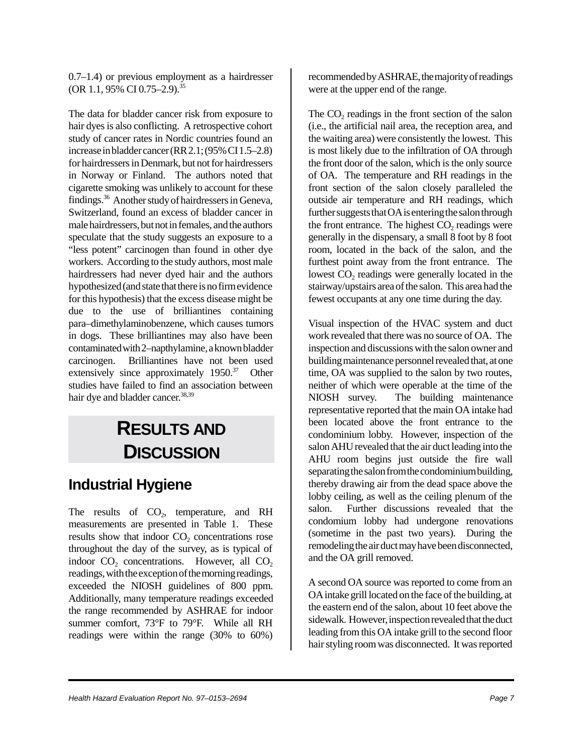0.7–1.4) or previous employment as a hairdresser  $(OR 1.1, 95\% CI 0.75-2.9).$ <sup>35</sup>

The data for bladder cancer risk from exposure to hair dyes is also conflicting. A retrospective cohort study of cancer rates in Nordic countries found an increase in bladder cancer (RR 2.1; (95% CI 1.5–2.8) for hairdressers in Denmark, but not for hairdressers in Norway or Finland. The authors noted that cigarette smoking was unlikely to account for these findings.36 Another study of hairdressers in Geneva, Switzerland, found an excess of bladder cancer in male hairdressers, but not in females, and the authors speculate that the study suggests an exposure to a "less potent" carcinogen than found in other dye workers. According to the study authors, most male hairdressers had never dyed hair and the authors hypothesized (and state that there is no firm evidence for this hypothesis) that the excess disease might be due to the use of brilliantines containing para–dimethylaminobenzene, which causes tumors in dogs. These brilliantines may also have been contaminated with 2–napthylamine, a known bladder carcinogen. Brilliantines have not been used extensively since approximately 1950.<sup>37</sup> Other studies have failed to find an association between hair dye and bladder cancer.<sup>38,39</sup>

# **RESULTS AND DISCUSSION**

#### **Industrial Hygiene**

The results of  $CO<sub>2</sub>$ , temperature, and RH measurements are presented in Table 1. These results show that indoor  $CO<sub>2</sub>$  concentrations rose throughout the day of the survey, as is typical of indoor  $CO<sub>2</sub>$  concentrations. However, all  $CO<sub>2</sub>$ readings, with the exception of the morning readings, exceeded the NIOSH guidelines of 800 ppm. Additionally, many temperature readings exceeded the range recommended by ASHRAE for indoor summer comfort, 73°F to 79°F. While all RH readings were within the range (30% to 60%) recommended by ASHRAE, the majority of readings were at the upper end of the range.

The  $CO<sub>2</sub>$  readings in the front section of the salon (i.e., the artificial nail area, the reception area, and the waiting area) were consistently the lowest. This is most likely due to the infiltration of OA through the front door of the salon, which is the only source of OA. The temperature and RH readings in the front section of the salon closely paralleled the outside air temperature and RH readings, which further suggests that OA is entering the salon through the front entrance. The highest  $CO<sub>2</sub>$  readings were generally in the dispensary, a small 8 foot by 8 foot room, located in the back of the salon, and the furthest point away from the front entrance. The lowest  $CO<sub>2</sub>$  readings were generally located in the stairway/upstairs area of the salon. This area had the fewest occupants at any one time during the day.

Visual inspection of the HVAC system and duct work revealed that there was no source of OA. The inspection and discussions with the salon owner and building maintenance personnel revealed that, at one time, OA was supplied to the salon by two routes, neither of which were operable at the time of the NIOSH survey. The building maintenance representative reported that the main OA intake had been located above the front entrance to the condominium lobby. However, inspection of the salon AHU revealed that the air duct leading into the AHU room begins just outside the fire wall separating the salon from the condominium building, thereby drawing air from the dead space above the lobby ceiling, as well as the ceiling plenum of the salon. Further discussions revealed that the condomium lobby had undergone renovations (sometime in the past two years). During the remodeling the air duct may have been disconnected, and the OA grill removed.

A second OA source was reported to come from an OA intake grill located on the face of the building, at the eastern end of the salon, about 10 feet above the sidewalk. However, inspection revealed that the duct leading from this OA intake grill to the second floor hair styling room was disconnected. It was reported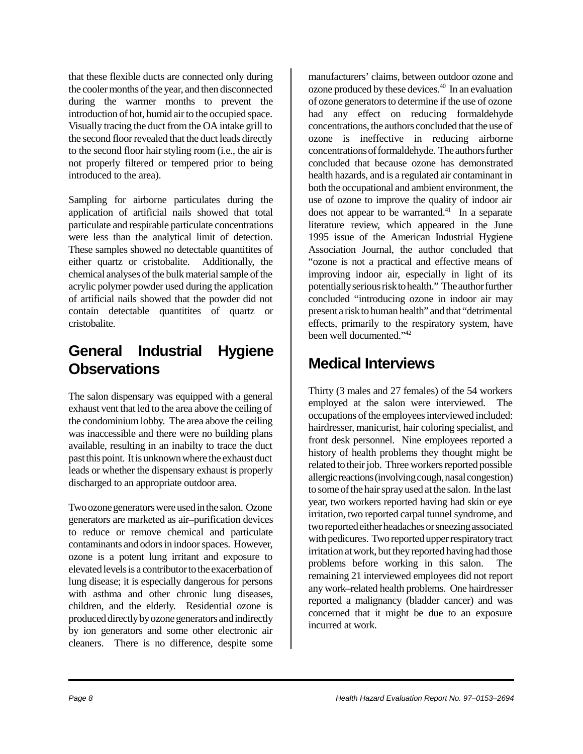that these flexible ducts are connected only during the cooler months of the year, and then disconnected during the warmer months to prevent the introduction of hot, humid air to the occupied space. Visually tracing the duct from the OA intake grill to the second floor revealed that the duct leads directly to the second floor hair styling room (i.e., the air is not properly filtered or tempered prior to being introduced to the area).

Sampling for airborne particulates during the application of artificial nails showed that total particulate and respirable particulate concentrations were less than the analytical limit of detection. These samples showed no detectable quantitites of either quartz or cristobalite. Additionally, the chemical analyses of the bulk material sample of the acrylic polymer powder used during the application of artificial nails showed that the powder did not contain detectable quantitites of quartz or cristobalite.

#### **General Industrial Hygiene Observations**

The salon dispensary was equipped with a general exhaust vent that led to the area above the ceiling of the condominium lobby. The area above the ceiling was inaccessible and there were no building plans available, resulting in an inabilty to trace the duct past this point. It is unknown where the exhaust duct leads or whether the dispensary exhaust is properly discharged to an appropriate outdoor area.

Two ozone generators were used in the salon. Ozone generators are marketed as air–purification devices to reduce or remove chemical and particulate contaminants and odors in indoor spaces. However, ozone is a potent lung irritant and exposure to elevated levels is a contributor to the exacerbation of lung disease; it is especially dangerous for persons with asthma and other chronic lung diseases, children, and the elderly. Residential ozone is produced directly by ozone generators and indirectly by ion generators and some other electronic air cleaners. There is no difference, despite some manufacturers' claims, between outdoor ozone and ozone produced by these devices.40 In an evaluation of ozone generators to determine if the use of ozone had any effect on reducing formaldehyde concentrations, the authors concluded that the use of ozone is ineffective in reducing airborne concentrations of formaldehyde. The authors further concluded that because ozone has demonstrated health hazards, and is a regulated air contaminant in both the occupational and ambient environment, the use of ozone to improve the quality of indoor air does not appear to be warranted.<sup>41</sup> In a separate literature review, which appeared in the June 1995 issue of the American Industrial Hygiene Association Journal, the author concluded that "ozone is not a practical and effective means of improving indoor air, especially in light of its potentially serious risk to health." The author further concluded "introducing ozone in indoor air may present a risk to human health" and that "detrimental effects, primarily to the respiratory system, have been well documented."42

### **Medical Interviews**

Thirty (3 males and 27 females) of the 54 workers employed at the salon were interviewed. The occupations of the employees interviewed included: hairdresser, manicurist, hair coloring specialist, and front desk personnel. Nine employees reported a history of health problems they thought might be related to their job. Three workers reported possible allergic reactions (involving cough, nasal congestion) to some of the hair spray used at the salon. In the last year, two workers reported having had skin or eye irritation, two reported carpal tunnel syndrome, and two reported either headaches or sneezing associated with pedicures. Two reported upper respiratory tract irritation at work, but they reported having had those problems before working in this salon. The remaining 21 interviewed employees did not report any work–related health problems. One hairdresser reported a malignancy (bladder cancer) and was concerned that it might be due to an exposure incurred at work.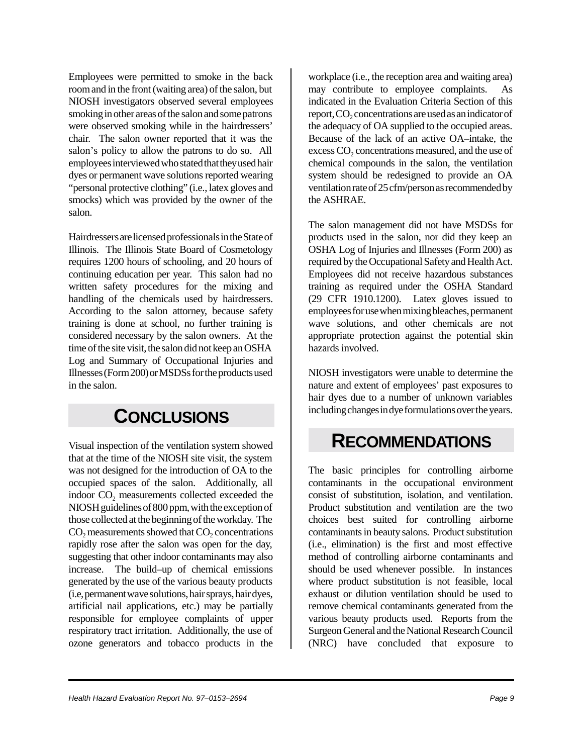Employees were permitted to smoke in the back room and in the front (waiting area) of the salon, but NIOSH investigators observed several employees smoking in other areas of the salon and some patrons were observed smoking while in the hairdressers' chair. The salon owner reported that it was the salon's policy to allow the patrons to do so. All employees interviewed who stated that they used hair dyes or permanent wave solutions reported wearing "personal protective clothing" (i.e., latex gloves and smocks) which was provided by the owner of the salon.

Hairdressers are licensed professionals in the State of Illinois. The Illinois State Board of Cosmetology requires 1200 hours of schooling, and 20 hours of continuing education per year. This salon had no written safety procedures for the mixing and handling of the chemicals used by hairdressers. According to the salon attorney, because safety training is done at school, no further training is considered necessary by the salon owners. At the time of the site visit, the salon did not keep an OSHA Log and Summary of Occupational Injuries and Illnesses (Form 200) or MSDSs for the products used in the salon.

## **CONCLUSIONS**

Visual inspection of the ventilation system showed that at the time of the NIOSH site visit, the system was not designed for the introduction of OA to the occupied spaces of the salon. Additionally, all indoor CO<sub>2</sub> measurements collected exceeded the NIOSH guidelines of 800 ppm, with the exception of those collected at the beginning of the workday. The  $CO<sub>2</sub>$  measurements showed that  $CO<sub>2</sub>$  concentrations rapidly rose after the salon was open for the day, suggesting that other indoor contaminants may also increase. The build–up of chemical emissions generated by the use of the various beauty products (i.e, permanent wave solutions, hair sprays, hair dyes, artificial nail applications, etc.) may be partially responsible for employee complaints of upper respiratory tract irritation. Additionally, the use of ozone generators and tobacco products in the

workplace (i.e., the reception area and waiting area) may contribute to employee complaints. As indicated in the Evaluation Criteria Section of this report, CO<sub>2</sub> concentrations are used as an indicator of the adequacy of OA supplied to the occupied areas. Because of the lack of an active OA–intake, the excess CO<sub>2</sub> concentrations measured, and the use of chemical compounds in the salon, the ventilation system should be redesigned to provide an OA ventilation rate of 25 cfm/person as recommended by the ASHRAE.

The salon management did not have MSDSs for products used in the salon, nor did they keep an OSHA Log of Injuries and Illnesses (Form 200) as required by the Occupational Safety and Health Act. Employees did not receive hazardous substances training as required under the OSHA Standard (29 CFR 1910.1200). Latex gloves issued to employees for use when mixing bleaches, permanent wave solutions, and other chemicals are not appropriate protection against the potential skin hazards involved.

NIOSH investigators were unable to determine the nature and extent of employees' past exposures to hair dyes due to a number of unknown variables including changes in dye formulations over the years.

### **RECOMMENDATIONS**

The basic principles for controlling airborne contaminants in the occupational environment consist of substitution, isolation, and ventilation. Product substitution and ventilation are the two choices best suited for controlling airborne contaminants in beauty salons. Product substitution (i.e., elimination) is the first and most effective method of controlling airborne contaminants and should be used whenever possible. In instances where product substitution is not feasible, local exhaust or dilution ventilation should be used to remove chemical contaminants generated from the various beauty products used. Reports from the Surgeon General and the National Research Council (NRC) have concluded that exposure to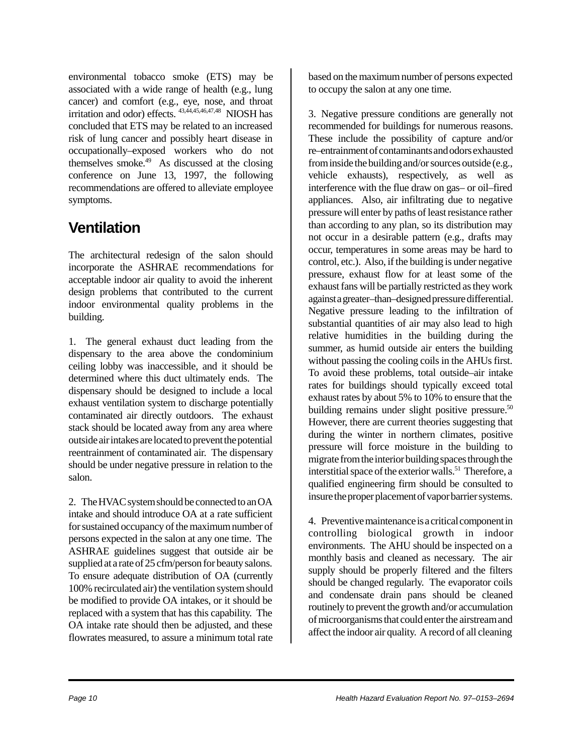environmental tobacco smoke (ETS) may be associated with a wide range of health (e.g., lung cancer) and comfort (e.g., eye, nose, and throat irritation and odor) effects. 43,44,45,46,47,48 NIOSH has concluded that ETS may be related to an increased risk of lung cancer and possibly heart disease in occupationally–exposed workers who do not themselves smoke.<sup>49</sup> As discussed at the closing conference on June 13, 1997, the following recommendations are offered to alleviate employee symptoms.

### **Ventilation**

The architectural redesign of the salon should incorporate the ASHRAE recommendations for acceptable indoor air quality to avoid the inherent design problems that contributed to the current indoor environmental quality problems in the building.

1. The general exhaust duct leading from the dispensary to the area above the condominium ceiling lobby was inaccessible, and it should be determined where this duct ultimately ends. The dispensary should be designed to include a local exhaust ventilation system to discharge potentially contaminated air directly outdoors. The exhaust stack should be located away from any area where outside air intakes are located to prevent the potential reentrainment of contaminated air. The dispensary should be under negative pressure in relation to the salon.

2. The HVAC system should be connected to an OA intake and should introduce OA at a rate sufficient for sustained occupancy of the maximum number of persons expected in the salon at any one time. The ASHRAE guidelines suggest that outside air be supplied at a rate of 25 cfm/person for beauty salons. To ensure adequate distribution of OA (currently 100% recirculated air) the ventilation system should be modified to provide OA intakes, or it should be replaced with a system that has this capability. The OA intake rate should then be adjusted, and these flowrates measured, to assure a minimum total rate

based on the maximum number of persons expected to occupy the salon at any one time.

3. Negative pressure conditions are generally not recommended for buildings for numerous reasons. These include the possibility of capture and/or re–entrainment of contaminants and odors exhausted from inside the building and/or sources outside (e.g., vehicle exhausts), respectively, as well as interference with the flue draw on gas– or oil–fired appliances. Also, air infiltrating due to negative pressure will enter by paths of least resistance rather than according to any plan, so its distribution may not occur in a desirable pattern (e.g., drafts may occur, temperatures in some areas may be hard to control, etc.). Also, if the building is under negative pressure, exhaust flow for at least some of the exhaust fans will be partially restricted as they work against a greater–than–designed pressure differential. Negative pressure leading to the infiltration of substantial quantities of air may also lead to high relative humidities in the building during the summer, as humid outside air enters the building without passing the cooling coils in the AHUs first. To avoid these problems, total outside–air intake rates for buildings should typically exceed total exhaust rates by about 5% to 10% to ensure that the building remains under slight positive pressure.<sup>50</sup> However, there are current theories suggesting that during the winter in northern climates, positive pressure will force moisture in the building to migrate from the interior building spaces through the interstitial space of the exterior walls.<sup>51</sup> Therefore, a qualified engineering firm should be consulted to insure the proper placement of vapor barrier systems.

4. Preventive maintenance is a critical component in controlling biological growth in indoor environments. The AHU should be inspected on a monthly basis and cleaned as necessary. The air supply should be properly filtered and the filters should be changed regularly. The evaporator coils and condensate drain pans should be cleaned routinely to prevent the growth and/or accumulation of microorganisms that could enter the airstream and affect the indoor air quality. A record of all cleaning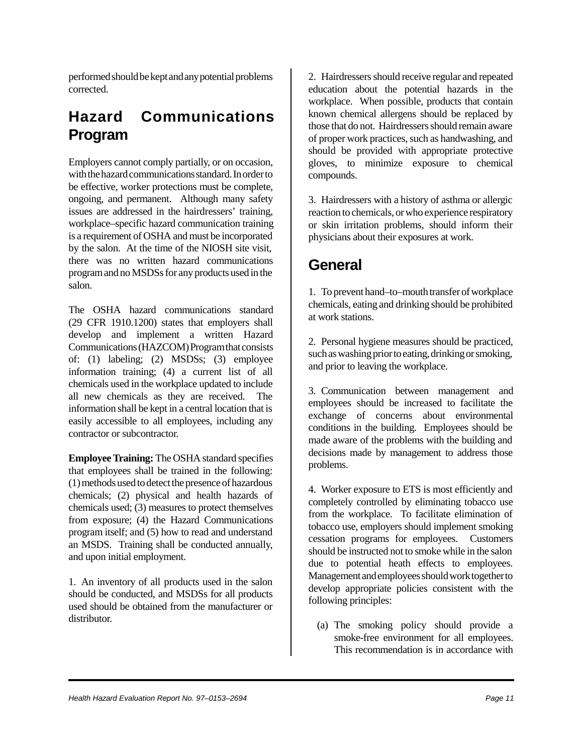performed should be kept and any potential problems corrected.

### **Hazard Communications Program**

Employers cannot comply partially, or on occasion, with the hazard communications standard. In order to be effective, worker protections must be complete, ongoing, and permanent. Although many safety issues are addressed in the hairdressers' training, workplace–specific hazard communication training is a requirement of OSHA and must be incorporated by the salon. At the time of the NIOSH site visit, there was no written hazard communications program and no MSDSs for any products used in the salon.

The OSHA hazard communications standard (29 CFR 1910.1200) states that employers shall develop and implement a written Hazard Communications (HAZCOM) Program that consists of: (1) labeling; (2) MSDSs; (3) employee information training; (4) a current list of all chemicals used in the workplace updated to include all new chemicals as they are received. The information shall be kept in a central location that is easily accessible to all employees, including any contractor or subcontractor.

**Employee Training:** The OSHA standard specifies that employees shall be trained in the following: (1) methods used to detect the presence of hazardous chemicals; (2) physical and health hazards of chemicals used; (3) measures to protect themselves from exposure; (4) the Hazard Communications program itself; and (5) how to read and understand an MSDS. Training shall be conducted annually, and upon initial employment.

1. An inventory of all products used in the salon should be conducted, and MSDSs for all products used should be obtained from the manufacturer or distributor.

2. Hairdressers should receive regular and repeated education about the potential hazards in the workplace. When possible, products that contain known chemical allergens should be replaced by those that do not. Hairdressers should remain aware of proper work practices, such as handwashing, and should be provided with appropriate protective gloves, to minimize exposure to chemical compounds.

3. Hairdressers with a history of asthma or allergic reaction to chemicals, or who experience respiratory or skin irritation problems, should inform their physicians about their exposures at work.

#### **General**

1. To prevent hand–to–mouth transfer of workplace chemicals, eating and drinking should be prohibited at work stations.

2. Personal hygiene measures should be practiced, such as washing prior to eating, drinking or smoking, and prior to leaving the workplace.

3. Communication between management and employees should be increased to facilitate the exchange of concerns about environmental conditions in the building. Employees should be made aware of the problems with the building and decisions made by management to address those problems.

4. Worker exposure to ETS is most efficiently and completely controlled by eliminating tobacco use from the workplace. To facilitate elimination of tobacco use, employers should implement smoking cessation programs for employees. Customers should be instructed not to smoke while in the salon due to potential heath effects to employees. Management and employees should work together to develop appropriate policies consistent with the following principles:

(a) The smoking policy should provide a smoke-free environment for all employees. This recommendation is in accordance with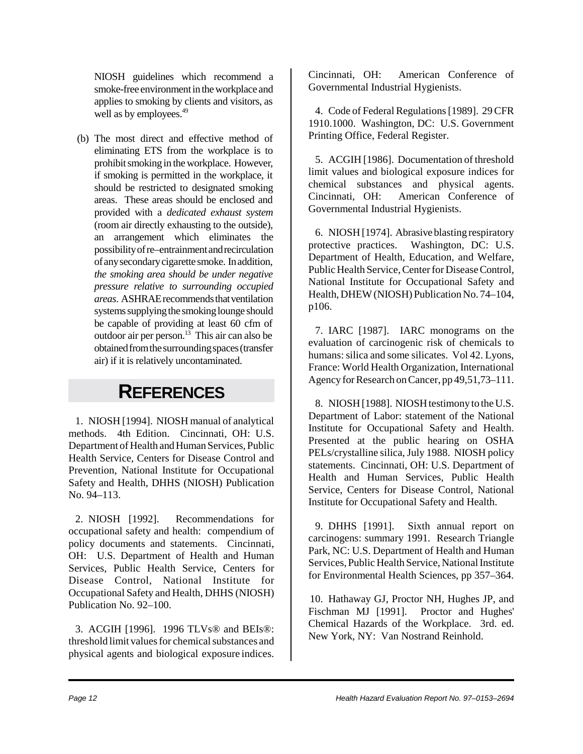NIOSH guidelines which recommend a smoke-free environment in the workplace and applies to smoking by clients and visitors, as well as by employees.<sup>49</sup>

(b) The most direct and effective method of eliminating ETS from the workplace is to prohibit smoking in the workplace. However, if smoking is permitted in the workplace, it should be restricted to designated smoking areas. These areas should be enclosed and provided with a *dedicated exhaust system* (room air directly exhausting to the outside), an arrangement which eliminates the possibility of re–entrainment and recirculation of any secondary cigarette smoke. In addition, *the smoking area should be under negative pressure relative to surrounding occupied areas*. ASHRAE recommends that ventilation systems supplying the smoking lounge should be capable of providing at least 60 cfm of outdoor air per person. $13$  This air can also be obtained from the surrounding spaces (transfer air) if it is relatively uncontaminated.

## **REFERENCES**

1. NIOSH [1994]. NIOSH manual of analytical methods. 4th Edition. Cincinnati, OH: U.S. Department of Health and Human Services, Public Health Service, Centers for Disease Control and Prevention, National Institute for Occupational Safety and Health, DHHS (NIOSH) Publication No. 94–113.

2. NIOSH [1992]. Recommendations for occupational safety and health: compendium of policy documents and statements. Cincinnati, OH: U.S. Department of Health and Human Services, Public Health Service, Centers for Disease Control, National Institute for Occupational Safety and Health, DHHS (NIOSH) Publication No. 92–100.

3. ACGIH [1996]. 1996 TLVs® and BEIs®: threshold limit values for chemical substances and physical agents and biological exposure indices.

Cincinnati, OH: American Conference of Governmental Industrial Hygienists.

4. Code of Federal Regulations [1989]. 29 CFR 1910.1000. Washington, DC: U.S. Government Printing Office, Federal Register.

5. ACGIH [1986]. Documentation of threshold limit values and biological exposure indices for chemical substances and physical agents.<br>Cincinnati, OH: American Conference of American Conference of Governmental Industrial Hygienists.

6. NIOSH [1974]. Abrasive blasting respiratory protective practices. Washington, DC: U.S. Department of Health, Education, and Welfare, Public Health Service, Center for Disease Control, National Institute for Occupational Safety and Health, DHEW (NIOSH) Publication No. 74–104, p106.

7. IARC [1987]. IARC monograms on the evaluation of carcinogenic risk of chemicals to humans: silica and some silicates. Vol 42. Lyons, France: World Health Organization, International Agency for Research on Cancer, pp 49,51,73–111.

8. NIOSH [1988]. NIOSH testimony to the U.S. Department of Labor: statement of the National Institute for Occupational Safety and Health. Presented at the public hearing on OSHA PELs/crystalline silica, July 1988. NIOSH policy statements. Cincinnati, OH: U.S. Department of Health and Human Services, Public Health Service, Centers for Disease Control, National Institute for Occupational Safety and Health.

9. DHHS [1991]. Sixth annual report on carcinogens: summary 1991. Research Triangle Park, NC: U.S. Department of Health and Human Services, Public Health Service, National Institute for Environmental Health Sciences, pp 357–364.

10. Hathaway GJ, Proctor NH, Hughes JP, and Fischman MJ [1991]. Proctor and Hughes' Chemical Hazards of the Workplace. 3rd. ed. New York, NY: Van Nostrand Reinhold.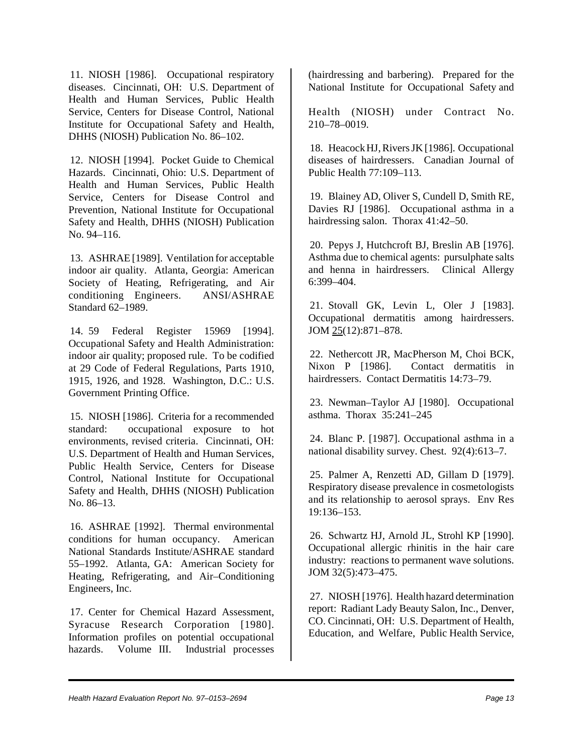11. NIOSH [1986]. Occupational respiratory diseases. Cincinnati, OH: U.S. Department of Health and Human Services, Public Health Service, Centers for Disease Control, National Institute for Occupational Safety and Health, DHHS (NIOSH) Publication No. 86–102.

12. NIOSH [1994]. Pocket Guide to Chemical Hazards. Cincinnati, Ohio: U.S. Department of Health and Human Services, Public Health Service, Centers for Disease Control and Prevention, National Institute for Occupational Safety and Health, DHHS (NIOSH) Publication No. 94–116.

13. ASHRAE [1989]. Ventilation for acceptable indoor air quality. Atlanta, Georgia: American Society of Heating, Refrigerating, and Air conditioning Engineers. ANSI/ASHRAE Standard 62–1989.

14. 59 Federal Register 15969 [1994]. Occupational Safety and Health Administration: indoor air quality; proposed rule. To be codified at 29 Code of Federal Regulations, Parts 1910, 1915, 1926, and 1928. Washington, D.C.: U.S. Government Printing Office.

15. NIOSH [1986]. Criteria for a recommended standard: occupational exposure to hot environments, revised criteria. Cincinnati, OH: U.S. Department of Health and Human Services, Public Health Service, Centers for Disease Control, National Institute for Occupational Safety and Health, DHHS (NIOSH) Publication No. 86–13.

16. ASHRAE [1992]. Thermal environmental conditions for human occupancy. American National Standards Institute/ASHRAE standard 55–1992. Atlanta, GA: American Society for Heating, Refrigerating, and Air–Conditioning Engineers, Inc.

17. Center for Chemical Hazard Assessment, Syracuse Research Corporation [1980]. Information profiles on potential occupational hazards. Volume III. Industrial processes

(hairdressing and barbering). Prepared for the National Institute for Occupational Safety and

Health (NIOSH) under Contract No. 210–78–0019.

18. Heacock HJ, Rivers JK [1986]. Occupational diseases of hairdressers. Canadian Journal of Public Health 77:109–113.

19. Blainey AD, Oliver S, Cundell D, Smith RE, Davies RJ [1986]. Occupational asthma in a hairdressing salon. Thorax 41:42–50.

20. Pepys J, Hutchcroft BJ, Breslin AB [1976]. Asthma due to chemical agents: pursulphate salts and henna in hairdressers. Clinical Allergy 6:399–404.

21. Stovall GK, Levin L, Oler J [1983]. Occupational dermatitis among hairdressers. JOM 25(12):871–878.

22. Nethercott JR, MacPherson M, Choi BCK, Nixon P [1986]. Contact dermatitis in hairdressers. Contact Dermatitis 14:73–79.

23. Newman–Taylor AJ [1980]. Occupational asthma. Thorax 35:241–245

24. Blanc P. [1987]. Occupational asthma in a national disability survey. Chest. 92(4):613–7.

25. Palmer A, Renzetti AD, Gillam D [1979]. Respiratory disease prevalence in cosmetologists and its relationship to aerosol sprays. Env Res 19:136–153.

26. Schwartz HJ, Arnold JL, Strohl KP [1990]. Occupational allergic rhinitis in the hair care industry: reactions to permanent wave solutions. JOM 32(5):473–475.

27. NIOSH [1976]. Health hazard determination report: Radiant Lady Beauty Salon, Inc., Denver, CO. Cincinnati, OH: U.S. Department of Health, Education, and Welfare, Public Health Service,

*Health Hazard Evaluation Report No. 97–0153–2694* Page 13 Page 13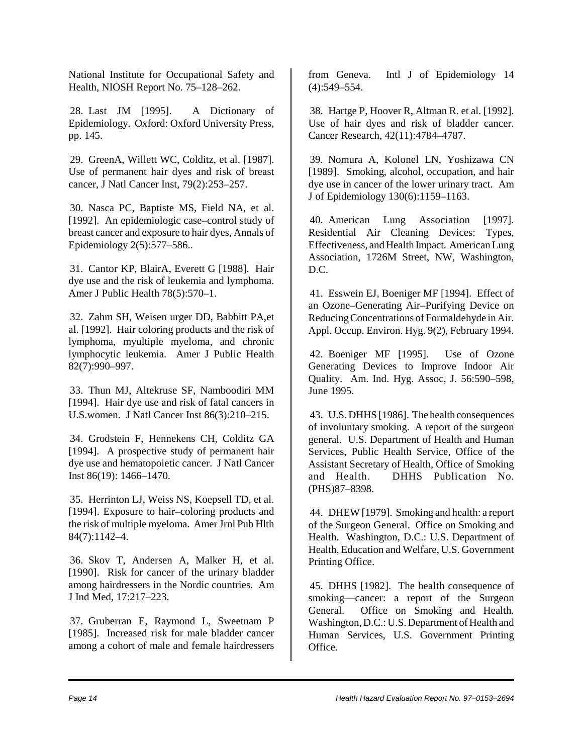National Institute for Occupational Safety and Health, NIOSH Report No. 75–128–262.

28. Last JM [1995]. A Dictionary of Epidemiology. Oxford: Oxford University Press, pp. 145.

29. GreenA, Willett WC, Colditz, et al. [1987]. Use of permanent hair dyes and risk of breast cancer, J Natl Cancer Inst, 79(2):253–257.

30. Nasca PC, Baptiste MS, Field NA, et al. [1992]. An epidemiologic case–control study of breast cancer and exposure to hair dyes, Annals of Epidemiology 2(5):577–586..

31. Cantor KP, BlairA, Everett G [1988]. Hair dye use and the risk of leukemia and lymphoma. Amer J Public Health 78(5):570–1.

32. Zahm SH, Weisen urger DD, Babbitt PA,et al. [1992]. Hair coloring products and the risk of lymphoma, myultiple myeloma, and chronic lymphocytic leukemia. Amer J Public Health 82(7):990–997.

33. Thun MJ, Altekruse SF, Namboodiri MM [1994]. Hair dye use and risk of fatal cancers in U.S.women. J Natl Cancer Inst 86(3):210–215.

34. Grodstein F, Hennekens CH, Colditz GA [1994]. A prospective study of permanent hair dye use and hematopoietic cancer. J Natl Cancer Inst 86(19): 1466–1470.

35. Herrinton LJ, Weiss NS, Koepsell TD, et al. [1994]. Exposure to hair–coloring products and the risk of multiple myeloma. Amer Jrnl Pub Hlth 84(7):1142–4.

36. Skov T, Andersen A, Malker H, et al. [1990]. Risk for cancer of the urinary bladder among hairdressers in the Nordic countries. Am J Ind Med, 17:217–223.

37. Gruberran E, Raymond L, Sweetnam P [1985]. Increased risk for male bladder cancer among a cohort of male and female hairdressers

from Geneva. Intl J of Epidemiology 14 (4):549–554.

38. Hartge P, Hoover R, Altman R. et al. [1992]. Use of hair dyes and risk of bladder cancer. Cancer Research, 42(11):4784–4787.

39. Nomura A, Kolonel LN, Yoshizawa CN [1989]. Smoking, alcohol, occupation, and hair dye use in cancer of the lower urinary tract. Am J of Epidemiology 130(6):1159–1163.

40. American Lung Association [1997]. Residential Air Cleaning Devices: Types, Effectiveness, and Health Impact. American Lung Association, 1726M Street, NW, Washington,  $D C$ 

41. Esswein EJ, Boeniger MF [1994]. Effect of an Ozone–Generating Air–Purifying Device on Reducing Concentrations of Formaldehyde in Air. Appl. Occup. Environ. Hyg. 9(2), February 1994.

42. Boeniger MF [1995]. Use of Ozone Generating Devices to Improve Indoor Air Quality. Am. Ind. Hyg. Assoc, J. 56:590–598, June 1995.

43. U.S. DHHS [1986]. The health consequences of involuntary smoking. A report of the surgeon general. U.S. Department of Health and Human Services, Public Health Service, Office of the Assistant Secretary of Health, Office of Smoking and Health. DHHS Publication No. (PHS)87–8398.

44. DHEW [1979]. Smoking and health: a report of the Surgeon General. Office on Smoking and Health. Washington, D.C.: U.S. Department of Health, Education and Welfare, U.S. Government Printing Office.

45. DHHS [1982]. The health consequence of smoking––cancer: a report of the Surgeon General. Office on Smoking and Health. Washington, D.C.: U.S. Department of Health and Human Services, U.S. Government Printing Office.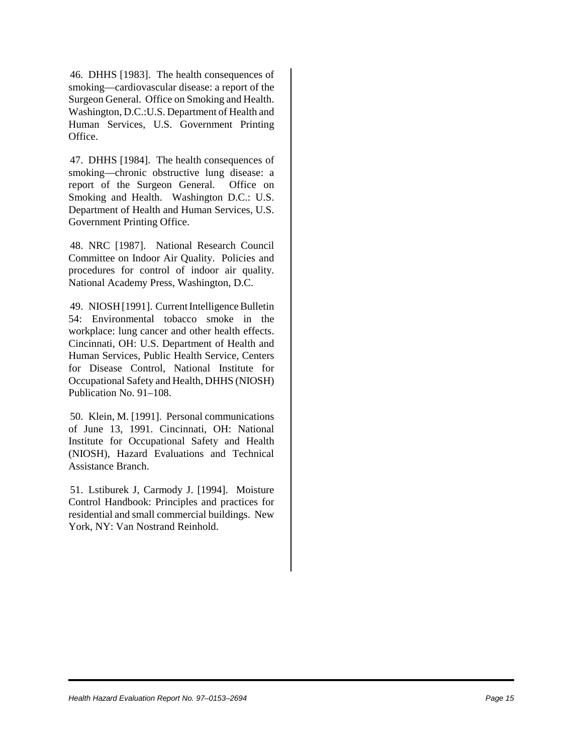46. DHHS [1983]. The health consequences of smoking––cardiovascular disease: a report of the Surgeon General. Office on Smoking and Health. Washington, D.C.:U.S. Department of Health and Human Services, U.S. Government Printing Office.

47. DHHS [1984]. The health consequences of smoking––chronic obstructive lung disease: a report of the Surgeon General. Office on Smoking and Health. Washington D.C.: U.S. Department of Health and Human Services, U.S. Government Printing Office.

48. NRC [1987]. National Research Council Committee on Indoor Air Quality. Policies and procedures for control of indoor air quality. National Academy Press, Washington, D.C.

49. NIOSH [1991]. Current Intelligence Bulletin 54: Environmental tobacco smoke in the workplace: lung cancer and other health effects. Cincinnati, OH: U.S. Department of Health and Human Services, Public Health Service, Centers for Disease Control, National Institute for Occupational Safety and Health, DHHS (NIOSH) Publication No. 91–108.

50. Klein, M. [1991]. Personal communications of June 13, 1991. Cincinnati, OH: National Institute for Occupational Safety and Health (NIOSH), Hazard Evaluations and Technical Assistance Branch.

51. Lstiburek J, Carmody J. [1994]. Moisture Control Handbook: Principles and practices for residential and small commercial buildings. New York, NY: Van Nostrand Reinhold.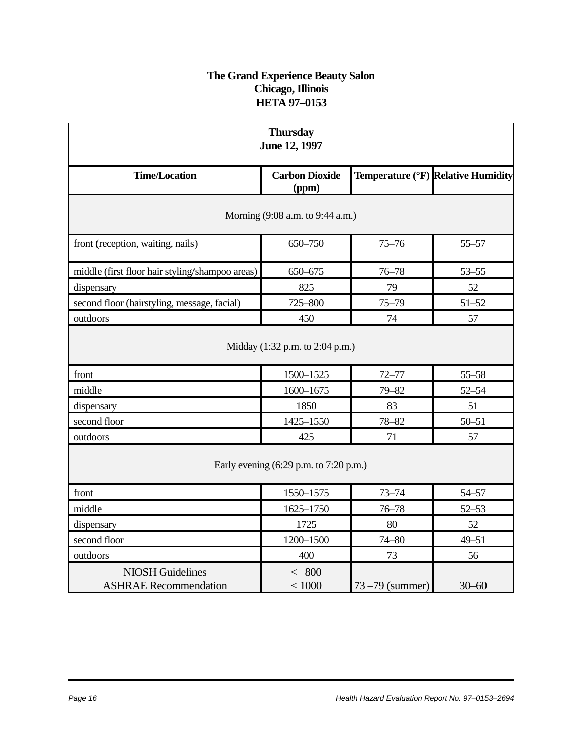#### **The Grand Experience Beauty Salon Chicago, Illinois HETA 97–0153**

| <b>Thursday</b><br>June 12, 1997                          |                                |                  |                                    |  |
|-----------------------------------------------------------|--------------------------------|------------------|------------------------------------|--|
| <b>Time/Location</b>                                      | <b>Carbon Dioxide</b><br>(ppm) |                  | Temperature (°F) Relative Humidity |  |
| Morning (9:08 a.m. to 9:44 a.m.)                          |                                |                  |                                    |  |
| front (reception, waiting, nails)                         | 650-750                        | $75 - 76$        | $55 - 57$                          |  |
| middle (first floor hair styling/shampoo areas)           | 650-675                        | $76 - 78$        | $53 - 55$                          |  |
| dispensary                                                | 825                            | 79               | 52                                 |  |
| second floor (hairstyling, message, facial)               | 725-800                        | $75 - 79$        | $51 - 52$                          |  |
| outdoors                                                  | 450                            | 74               | 57                                 |  |
| Midday (1:32 p.m. to 2:04 p.m.)                           |                                |                  |                                    |  |
| front<br>middle                                           | 1500-1525                      | $72 - 77$        | $55 - 58$                          |  |
| dispensary                                                | 1600-1675<br>1850              | $79 - 82$<br>83  | $52 - 54$<br>51                    |  |
| second floor                                              | 1425-1550                      | 78-82            | $50 - 51$                          |  |
| outdoors                                                  | 425                            | 71               | 57                                 |  |
| Early evening $(6:29 \text{ p.m. to } 7:20 \text{ p.m.})$ |                                |                  |                                    |  |
| front                                                     | 1550-1575                      | $73 - 74$        | 54-57                              |  |
| middle                                                    | 1625-1750                      | $76 - 78$        | $52 - 53$                          |  |
| dispensary                                                | 1725                           | 80               | 52                                 |  |
| second floor                                              | 1200-1500                      | $74 - 80$        | $49 - 51$                          |  |
| outdoors                                                  | 400                            | 73               | 56                                 |  |
| <b>NIOSH Guidelines</b><br><b>ASHRAE Recommendation</b>   | < 800<br>< 1000                | 73 – 79 (summer) | $30 - 60$                          |  |